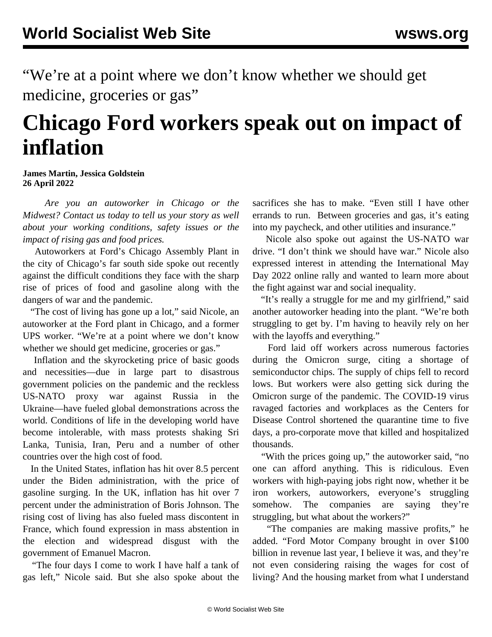"We're at a point where we don't know whether we should get medicine, groceries or gas"

## **Chicago Ford workers speak out on impact of inflation**

## **James Martin, Jessica Goldstein 26 April 2022**

 *Are you an autoworker in Chicago or the Midwest? [Contact us today](/contact) to tell us your story as well about your working conditions, safety issues or the impact of rising gas and food prices.* 

 Autoworkers at Ford's Chicago Assembly Plant in the city of Chicago's far south side spoke out recently against the difficult conditions they face with the sharp rise of prices of food and gasoline along with the dangers of war and the pandemic.

 "The cost of living has gone up a lot," said Nicole, an autoworker at the Ford plant in Chicago, and a former UPS worker. "We're at a point where we don't know whether we should get medicine, groceries or gas."

 Inflation and the skyrocketing price of basic goods and necessities—due in large part to disastrous government policies on the pandemic and the reckless US-NATO proxy war against Russia in the Ukraine—have fueled [global demonstrations](/en/articles/2022/04/16/pers-a16.html) across the world. Conditions of life in the developing world have become intolerable, with mass protests shaking [Sri](/en/articles/2022/04/04/pers-a04.html) [Lanka](/en/articles/2022/04/04/pers-a04.html), Tunisia, Iran, Peru and a number of other countries over the high cost of food.

 In the United States, inflation has hit over 8.5 percent under the Biden administration, with the price of gasoline surging. In the UK, inflation has hit over 7 percent under the administration of Boris Johnson. The rising cost of living has also fueled mass discontent in France, which found expression in mass abstention in the election and widespread disgust with the government of Emanuel Macron.

 "The four days I come to work I have half a tank of gas left," Nicole said. But she also spoke about the

sacrifices she has to make. "Even still I have other errands to run. Between groceries and gas, it's eating into my paycheck, and other utilities and insurance."

 Nicole also spoke out against the US-NATO war drive. "I don't think we should have war." Nicole also expressed interest in attending the [International May](/en/special/pages/international-mayday-online-rally-2022.html) [Day 2022](/en/special/pages/international-mayday-online-rally-2022.html) online rally and wanted to learn more about the fight against war and social inequality.

 "It's really a struggle for me and my girlfriend," said another autoworker heading into the plant. "We're both struggling to get by. I'm having to heavily rely on her with the layoffs and everything."

 [Ford laid off workers](/en/articles/2022/02/15/ford-f15.html) across numerous factories during the Omicron surge, citing a shortage of semiconductor chips. The supply of chips fell to record lows. But workers were also getting sick during the Omicron surge of the pandemic. The COVID-19 virus ravaged factories and workplaces as the Centers for Disease Control shortened the quarantine time to five days, a pro-corporate move that killed and hospitalized thousands.

"With the prices going up," the autoworker said, "no one can afford anything. This is ridiculous. Even workers with high-paying jobs right now, whether it be iron workers, autoworkers, everyone's struggling somehow. The companies are saying they're struggling, but what about the workers?"

 "The companies are making massive profits," he added. "Ford Motor Company brought in over [\\$100](/en/articles/2022/02/07/auto-f07.html) [billion in revenue](/en/articles/2022/02/07/auto-f07.html) last year, I believe it was, and they're not even considering raising the wages for cost of living? And the housing market from what I understand